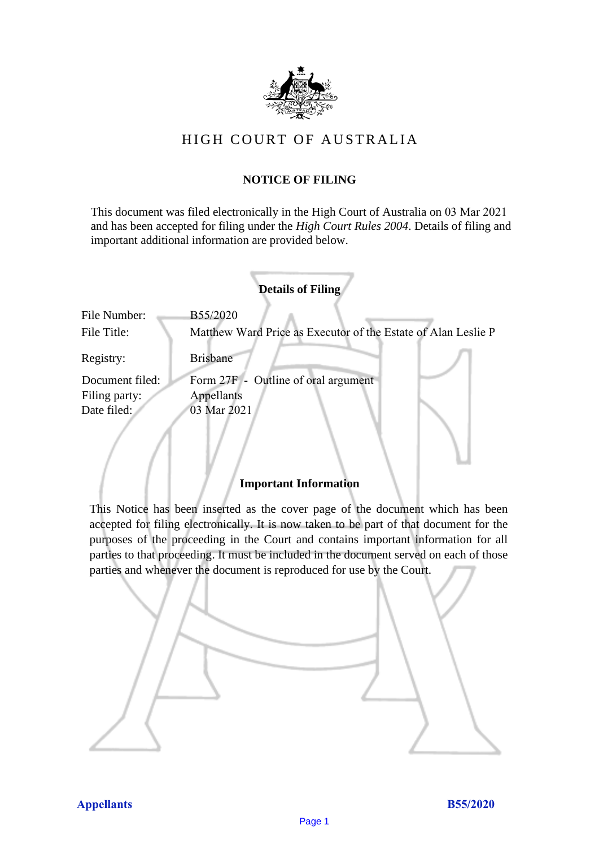

# HIGH COURT OF AU STRALIA HIGH COURT OF AUSTRALIA

# **NOTICE OF FILING** NOTICE OF FILING

This document was filed electronically in the High Court of Australia on 03 Mar 2021 and has been accepted for filing under the *High Court Rules 2004*. Details of filing and important additional information are provided below. important additional information are provided below.

|                 | <b>Details of Filing</b>                                      |
|-----------------|---------------------------------------------------------------|
| File Number:    | B55/2020                                                      |
| File Title:     | Matthew Ward Price as Executor of the Estate of Alan Leslie P |
| Registry:       | <b>Brisbane</b>                                               |
| Document filed: | Form 27F - Outline of oral argument                           |
| Filing party:   | Appellants                                                    |
| Date filed:     | 03 Mar 2021                                                   |

## **Important Information** Important Information

This Notice has been inserted as the cover page of the document which has been accepted for filing electronically. It is now taken to be part of that document for the purposes of the proceeding in the Court and contains important information for all parties to that proceeding. It must be included in the document served on each of those parties and whenever the document is reproduced for use by the Court. parties and whenever the document is reproduced for use by the Court

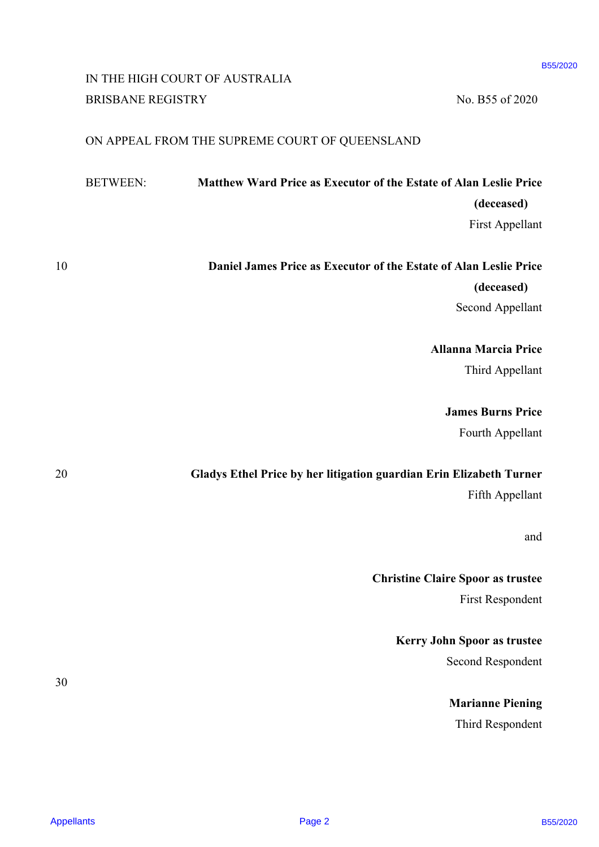# IN THE HIGH COURT OF AUSTRALIA IN THE HIGH COURT OF AUSTRALIA BRISBANE REGISTRY No. B55 of 2020

### ON APPEAL FROM THE SUPREME COURT OF QUEENSLAND ON APPEAL FROM THE SUPREME COURT OF QUEENSLAND

|                   |                          | IN THE HIGH COURT OF AUSTRALIA                                      |                             | B55/2020 |
|-------------------|--------------------------|---------------------------------------------------------------------|-----------------------------|----------|
|                   | <b>BRISBANE REGISTRY</b> |                                                                     | No. B55 of 2020             |          |
|                   |                          | ON APPEAL FROM THE SUPREME COURT OF QUEENSLAND                      |                             |          |
|                   | <b>BETWEEN:</b>          | Matthew Ward Price as Executor of the Estate of Alan Leslie Price   |                             |          |
|                   |                          |                                                                     | (deceased)                  |          |
|                   |                          |                                                                     | First Appellant             |          |
| 10                |                          | Daniel James Price as Executor of the Estate of Alan Leslie Price   |                             |          |
|                   |                          |                                                                     | (deceased)                  |          |
|                   |                          |                                                                     | <b>Second Appellant</b>     |          |
|                   |                          |                                                                     | <b>Allanna Marcia Price</b> |          |
|                   |                          |                                                                     | Third Appellant             |          |
|                   |                          |                                                                     | <b>James Burns Price</b>    |          |
|                   |                          |                                                                     | Fourth Appellant            |          |
| 20                |                          | Gladys Ethel Price by her litigation guardian Erin Elizabeth Turner |                             |          |
|                   |                          |                                                                     | Fifth Appellant             |          |
|                   |                          |                                                                     | and                         |          |
|                   |                          | <b>Christine Claire Spoor as trustee</b>                            |                             |          |
|                   |                          |                                                                     | <b>First Respondent</b>     |          |
|                   |                          |                                                                     | Kerry John Spoor as trustee |          |
|                   |                          |                                                                     | Second Respondent           |          |
| 30                |                          |                                                                     | <b>Marianne Piening</b>     |          |
|                   |                          |                                                                     | Third Respondent            |          |
|                   |                          |                                                                     |                             |          |
| <b>Appellants</b> |                          | Page 2                                                              |                             | B55/2020 |

Appellants Page 2 B55/2020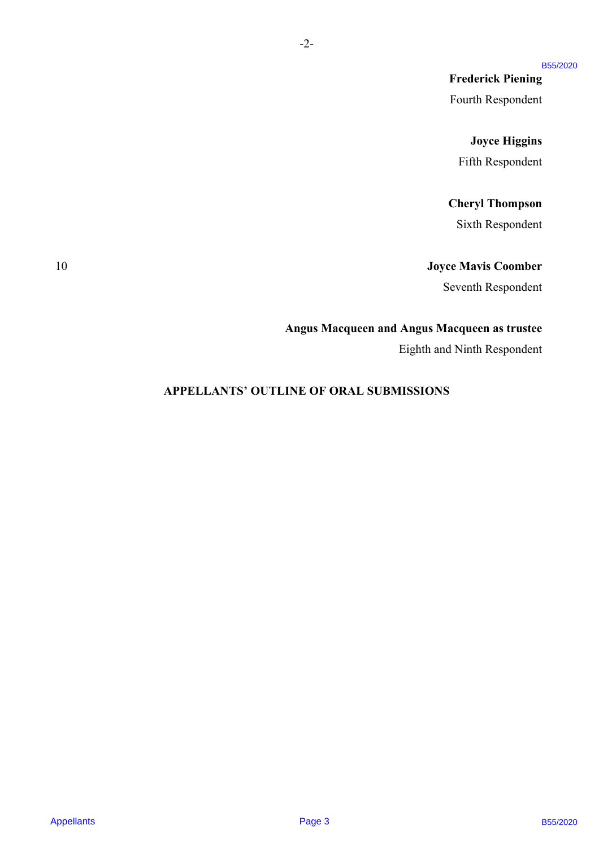### B55/2020

**Frederick Piening** Frederick Piening Fourth Respondent Fourth Respondent

### **Joyce Higgins** Joyce Higgins

Fifth Respondent Fifth Respondent

### **Cheryl Thompson** Cheryl Thompson

Sixth Respondent Sixth Respondent

### 10 **Joyce Mavis Coomber** 10 Joyce Mavis Coomber

Seventh Respondent Seventh Respondent

### **Angus Macqueen and Angus Macqueen as trustee** Angus Macqueen and Angus Macqueen as trustee

Eighth and Ninth Respondent Eighth and Ninth Respondent

# **APPELLANTS' OUTLINE OF ORAL SUBMISSIONS** APPELLANTS' OUTLINE OF ORAL SUBMISSIONS Freederick Piesning<br>
Fronth Respondent<br>
Fronth Respondent<br>
Juyee Higgian<br>
Titlis B-speeder<br>
Sixth Respondent<br>
Sixth Respondent<br>
Sixth Respondent<br>
Argus Macqueca and Argus Macqueca in trustee<br>
Egipth and Vitih Respondent<br>
A

-2-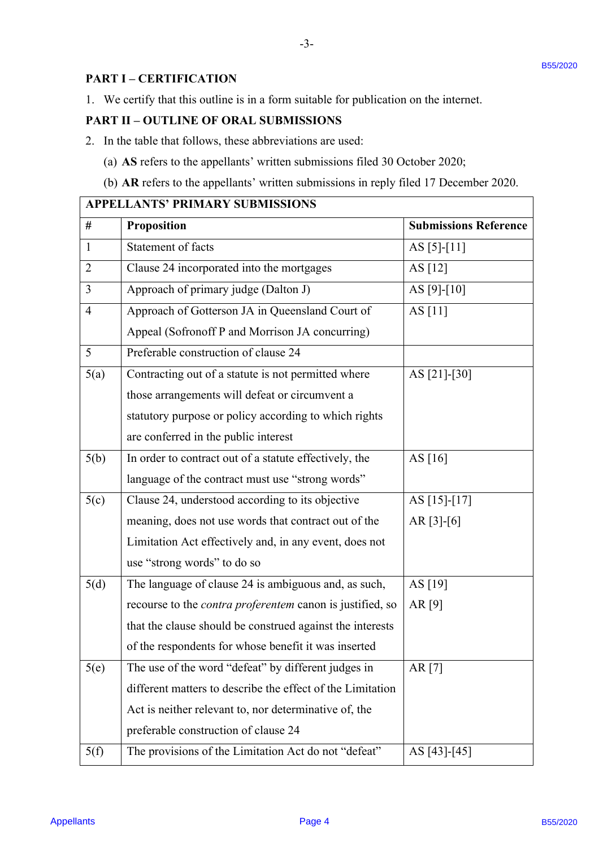# **PART I – CERTIFICATION** PART I -—CERTIFICATION

### **PART II – OUTLINE OF ORAL SUBMISSIONS** PART IT —-OUTLINE OF ORAL SUBMISSIONS

- 2. In the table that follows, these abbreviations are used: 2. In the table that follows, these abbreviations are used:
	- (a) **AS** refers to the appellants' written submissions filed 30 October 2020; (a) AS refers to the appellants' written submissions filed 30 October 2020;
	- (b) **AR** refers to the appellants' written submissions in reply filed 17 December 2020. (b) AR refers to the appellants' written submissions in reply filed <sup>17</sup> December 2020.

-3-

| 2.             | <b>PART II - OUTLINE OF ORAL SUBMISSIONS</b><br>In the table that follows, these abbreviations are used: |                              |  |
|----------------|----------------------------------------------------------------------------------------------------------|------------------------------|--|
|                | (a) AS refers to the appellants' written submissions filed 30 October 2020;                              |                              |  |
|                | (b) AR refers to the appellants' written submissions in reply filed 17 December 2020.                    |                              |  |
|                | <b>APPELLANTS' PRIMARY SUBMISSIONS</b>                                                                   |                              |  |
| $\#$           | <b>Proposition</b>                                                                                       | <b>Submissions Reference</b> |  |
| 1              | Statement of facts                                                                                       | AS $[5]-[11]$                |  |
| $\overline{2}$ | Clause 24 incorporated into the mortgages                                                                | AS [12]                      |  |
| $\overline{3}$ | Approach of primary judge (Dalton J)                                                                     | AS [9]- $[10]$               |  |
| $\overline{4}$ | Approach of Gotterson JA in Queensland Court of                                                          | AS $[11]$                    |  |
|                | Appeal (Sofronoff P and Morrison JA concurring)                                                          |                              |  |
| 5              | Preferable construction of clause 24                                                                     |                              |  |
| 5(a)           | Contracting out of a statute is not permitted where                                                      | AS [21]-[30]                 |  |
|                | those arrangements will defeat or circumvent a                                                           |                              |  |
|                | statutory purpose or policy according to which rights                                                    |                              |  |
|                | are conferred in the public interest                                                                     |                              |  |
| 5(b)           | In order to contract out of a statute effectively, the                                                   | AS [16]                      |  |
|                | language of the contract must use "strong words"                                                         |                              |  |
| 5(c)           | Clause 24, understood according to its objective                                                         | AS [15]-[17]                 |  |
|                | meaning, does not use words that contract out of the                                                     | $AR [3]-[6]$                 |  |
|                | Limitation Act effectively and, in any event, does not                                                   |                              |  |
|                | use "strong words" to do so                                                                              |                              |  |
| 5(d)           | The language of clause 24 is ambiguous and, as such,                                                     | AS [19]                      |  |
|                | recourse to the contra proferentem canon is justified, so                                                | AR $[9]$                     |  |
|                | that the clause should be construed against the interests                                                |                              |  |
|                | of the respondents for whose benefit it was inserted                                                     |                              |  |
| 5(e)           | The use of the word "defeat" by different judges in                                                      | AR [7]                       |  |
|                | different matters to describe the effect of the Limitation                                               |                              |  |
|                | Act is neither relevant to, nor determinative of, the                                                    |                              |  |
|                | preferable construction of clause 24                                                                     |                              |  |
| 5(f)           | The provisions of the Limitation Act do not "defeat"                                                     | AS [43] - [45]               |  |

### **APPELLANTS' PRIMARY SUBMISSIONS** APPELLANTS' PRIMARY SUBMISSIONS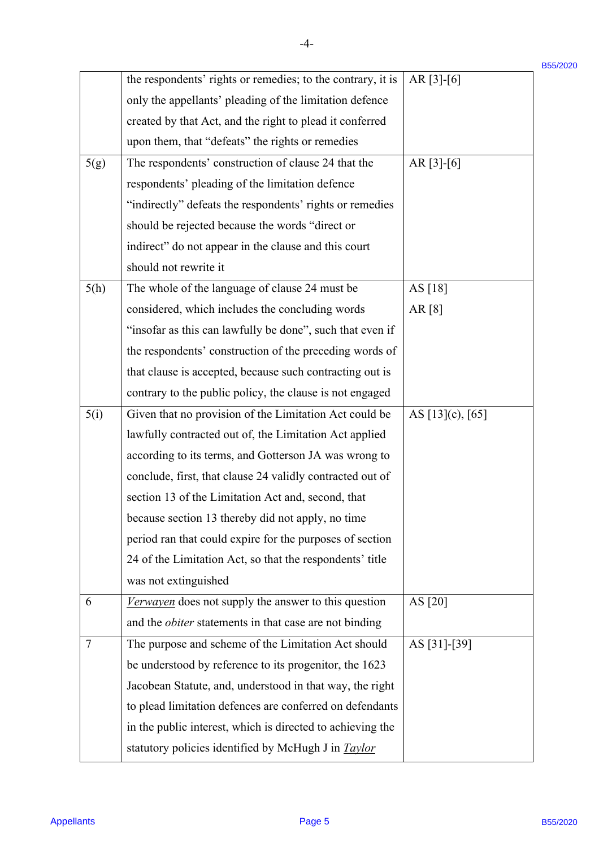|        |                                                               |                       | B55/2020 |
|--------|---------------------------------------------------------------|-----------------------|----------|
|        | the respondents' rights or remedies; to the contrary, it is   | $AR [3]-[6]$          |          |
|        | only the appellants' pleading of the limitation defence       |                       |          |
|        | created by that Act, and the right to plead it conferred      |                       |          |
|        | upon them, that "defeats" the rights or remedies              |                       |          |
| 5(g)   | The respondents' construction of clause 24 that the           | $AR [3]-[6]$          |          |
|        | respondents' pleading of the limitation defence               |                       |          |
|        | "indirectly" defeats the respondents' rights or remedies      |                       |          |
|        | should be rejected because the words "direct or               |                       |          |
|        | indirect" do not appear in the clause and this court          |                       |          |
|        | should not rewrite it                                         |                       |          |
| 5(h)   | The whole of the language of clause 24 must be                | AS [18]               |          |
|        | considered, which includes the concluding words               | AR $[8]$              |          |
|        | "insofar as this can lawfully be done", such that even if     |                       |          |
|        | the respondents' construction of the preceding words of       |                       |          |
|        | that clause is accepted, because such contracting out is      |                       |          |
|        | contrary to the public policy, the clause is not engaged      |                       |          |
| 5(i)   | Given that no provision of the Limitation Act could be        | AS $[13]$ (c), $[65]$ |          |
|        | lawfully contracted out of, the Limitation Act applied        |                       |          |
|        | according to its terms, and Gotterson JA was wrong to         |                       |          |
|        | conclude, first, that clause 24 validly contracted out of     |                       |          |
|        | section 13 of the Limitation Act and, second, that            |                       |          |
|        | because section 13 thereby did not apply, no time             |                       |          |
|        | period ran that could expire for the purposes of section      |                       |          |
|        | 24 of the Limitation Act, so that the respondents' title      |                       |          |
|        | was not extinguished                                          |                       |          |
| 6      | Verwayen does not supply the answer to this question          | AS [20]               |          |
|        | and the <i>obiter</i> statements in that case are not binding |                       |          |
| $\tau$ | The purpose and scheme of the Limitation Act should           | AS [31]-[39]          |          |
|        | be understood by reference to its progenitor, the 1623        |                       |          |
|        | Jacobean Statute, and, understood in that way, the right      |                       |          |
|        | to plead limitation defences are conferred on defendants      |                       |          |
|        | in the public interest, which is directed to achieving the    |                       |          |
|        | statutory policies identified by McHugh J in Taylor           |                       |          |
|        |                                                               |                       |          |

-4- -4-